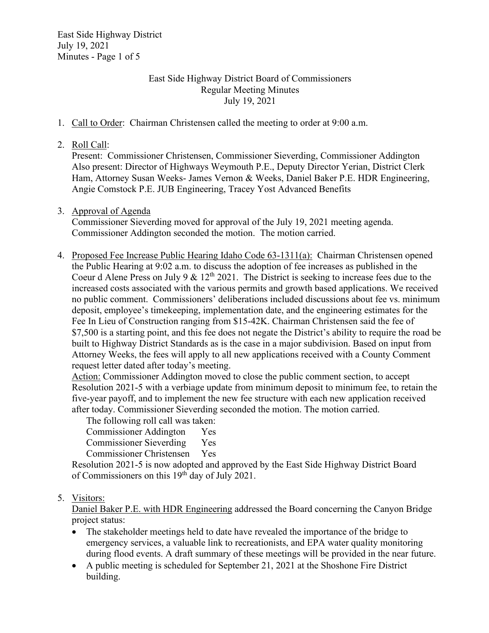East Side Highway District July 19, 2021 Minutes - Page 1 of 5

# East Side Highway District Board of Commissioners Regular Meeting Minutes July 19, 2021

- 1. Call to Order: Chairman Christensen called the meeting to order at 9:00 a.m.
- 2. Roll Call:

Present: Commissioner Christensen, Commissioner Sieverding, Commissioner Addington Also present: Director of Highways Weymouth P.E., Deputy Director Yerian, District Clerk Ham, Attorney Susan Weeks- James Vernon & Weeks, Daniel Baker P.E. HDR Engineering, Angie Comstock P.E. JUB Engineering, Tracey Yost Advanced Benefits

3. Approval of Agenda

Commissioner Sieverding moved for approval of the July 19, 2021 meeting agenda. Commissioner Addington seconded the motion. The motion carried.

4. Proposed Fee Increase Public Hearing Idaho Code 63-1311(a): Chairman Christensen opened the Public Hearing at 9:02 a.m. to discuss the adoption of fee increases as published in the Coeur d Alene Press on July 9 &  $12<sup>th</sup> 2021$ . The District is seeking to increase fees due to the increased costs associated with the various permits and growth based applications. We received no public comment. Commissioners' deliberations included discussions about fee vs. minimum deposit, employee's timekeeping, implementation date, and the engineering estimates for the Fee In Lieu of Construction ranging from \$15-42K. Chairman Christensen said the fee of \$7,500 is a starting point, and this fee does not negate the District's ability to require the road be built to Highway District Standards as is the case in a major subdivision. Based on input from Attorney Weeks, the fees will apply to all new applications received with a County Comment request letter dated after today's meeting.

Action: Commissioner Addington moved to close the public comment section, to accept Resolution 2021-5 with a verbiage update from minimum deposit to minimum fee, to retain the five-year payoff, and to implement the new fee structure with each new application received after today. Commissioner Sieverding seconded the motion. The motion carried.

The following roll call was taken: Commissioner Addington Yes Commissioner Sieverding Yes Commissioner Christensen Yes

 Resolution 2021-5 is now adopted and approved by the East Side Highway District Board of Commissioners on this 19th day of July 2021.

## 5. Visitors:

Daniel Baker P.E. with HDR Engineering addressed the Board concerning the Canyon Bridge project status:

- The stakeholder meetings held to date have revealed the importance of the bridge to emergency services, a valuable link to recreationists, and EPA water quality monitoring during flood events. A draft summary of these meetings will be provided in the near future.
- A public meeting is scheduled for September 21, 2021 at the Shoshone Fire District building.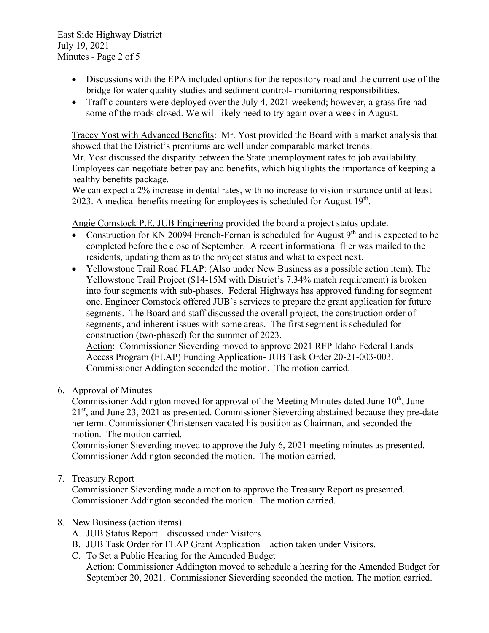East Side Highway District July 19, 2021 Minutes - Page 2 of 5

- Discussions with the EPA included options for the repository road and the current use of the bridge for water quality studies and sediment control- monitoring responsibilities.
- Traffic counters were deployed over the July 4, 2021 weekend; however, a grass fire had some of the roads closed. We will likely need to try again over a week in August.

Tracey Yost with Advanced Benefits: Mr. Yost provided the Board with a market analysis that showed that the District's premiums are well under comparable market trends. Mr. Yost discussed the disparity between the State unemployment rates to job availability. Employees can negotiate better pay and benefits, which highlights the importance of keeping a healthy benefits package.

We can expect a 2% increase in dental rates, with no increase to vision insurance until at least 2023. A medical benefits meeting for employees is scheduled for August  $19<sup>th</sup>$ .

Angie Comstock P.E. JUB Engineering provided the board a project status update.

- Construction for KN 20094 French-Fernan is scheduled for August  $9<sup>th</sup>$  and is expected to be completed before the close of September. A recent informational flier was mailed to the residents, updating them as to the project status and what to expect next.
- Yellowstone Trail Road FLAP: (Also under New Business as a possible action item). The Yellowstone Trail Project (\$14-15M with District's 7.34% match requirement) is broken into four segments with sub-phases. Federal Highways has approved funding for segment one. Engineer Comstock offered JUB's services to prepare the grant application for future segments. The Board and staff discussed the overall project, the construction order of segments, and inherent issues with some areas. The first segment is scheduled for construction (two-phased) for the summer of 2023.

Action: Commissioner Sieverding moved to approve 2021 RFP Idaho Federal Lands Access Program (FLAP) Funding Application- JUB Task Order 20-21-003-003. Commissioner Addington seconded the motion. The motion carried.

6. Approval of Minutes

Commissioner Addington moved for approval of the Meeting Minutes dated June  $10<sup>th</sup>$ , June  $21<sup>st</sup>$ , and June 23, 2021 as presented. Commissioner Sieverding abstained because they pre-date her term. Commissioner Christensen vacated his position as Chairman, and seconded the motion. The motion carried.

Commissioner Sieverding moved to approve the July 6, 2021 meeting minutes as presented. Commissioner Addington seconded the motion. The motion carried.

7. Treasury Report

Commissioner Sieverding made a motion to approve the Treasury Report as presented. Commissioner Addington seconded the motion. The motion carried.

## 8. New Business (action items)

- A. JUB Status Report discussed under Visitors.
- B. JUB Task Order for FLAP Grant Application action taken under Visitors.
- C. To Set a Public Hearing for the Amended Budget

Action: Commissioner Addington moved to schedule a hearing for the Amended Budget for September 20, 2021. Commissioner Sieverding seconded the motion. The motion carried.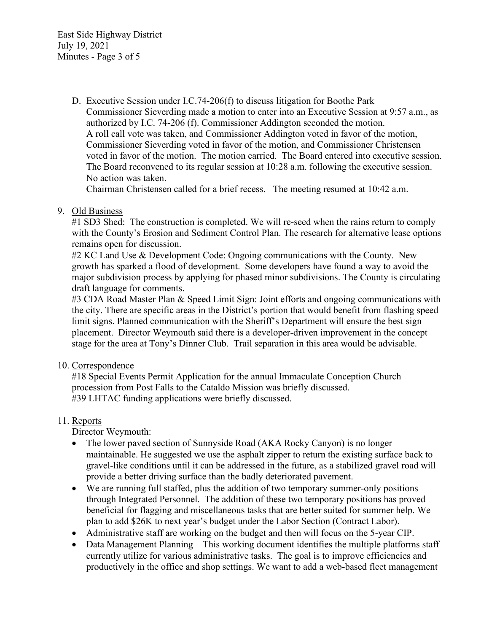East Side Highway District July 19, 2021 Minutes - Page 3 of 5

> D. Executive Session under I.C.74-206(f) to discuss litigation for Boothe Park Commissioner Sieverding made a motion to enter into an Executive Session at 9:57 a.m., as authorized by I.C. 74-206 (f). Commissioner Addington seconded the motion. A roll call vote was taken, and Commissioner Addington voted in favor of the motion, Commissioner Sieverding voted in favor of the motion, and Commissioner Christensen voted in favor of the motion. The motion carried. The Board entered into executive session. The Board reconvened to its regular session at 10:28 a.m. following the executive session. No action was taken.

Chairman Christensen called for a brief recess. The meeting resumed at 10:42 a.m.

## 9. Old Business

#1 SD3 Shed: The construction is completed. We will re-seed when the rains return to comply with the County's Erosion and Sediment Control Plan. The research for alternative lease options remains open for discussion.

#2 KC Land Use & Development Code: Ongoing communications with the County. New growth has sparked a flood of development. Some developers have found a way to avoid the major subdivision process by applying for phased minor subdivisions. The County is circulating draft language for comments.

#3 CDA Road Master Plan & Speed Limit Sign: Joint efforts and ongoing communications with the city. There are specific areas in the District's portion that would benefit from flashing speed limit signs. Planned communication with the Sheriff's Department will ensure the best sign placement. Director Weymouth said there is a developer-driven improvement in the concept stage for the area at Tony's Dinner Club. Trail separation in this area would be advisable.

### 10. Correspondence

#18 Special Events Permit Application for the annual Immaculate Conception Church procession from Post Falls to the Cataldo Mission was briefly discussed. #39 LHTAC funding applications were briefly discussed.

### 11. Reports

Director Weymouth:

- The lower paved section of Sunnyside Road (AKA Rocky Canyon) is no longer maintainable. He suggested we use the asphalt zipper to return the existing surface back to gravel-like conditions until it can be addressed in the future, as a stabilized gravel road will provide a better driving surface than the badly deteriorated pavement.
- We are running full staffed, plus the addition of two temporary summer-only positions through Integrated Personnel. The addition of these two temporary positions has proved beneficial for flagging and miscellaneous tasks that are better suited for summer help. We plan to add \$26K to next year's budget under the Labor Section (Contract Labor).
- Administrative staff are working on the budget and then will focus on the 5-year CIP.
- Data Management Planning This working document identifies the multiple platforms staff currently utilize for various administrative tasks. The goal is to improve efficiencies and productively in the office and shop settings. We want to add a web-based fleet management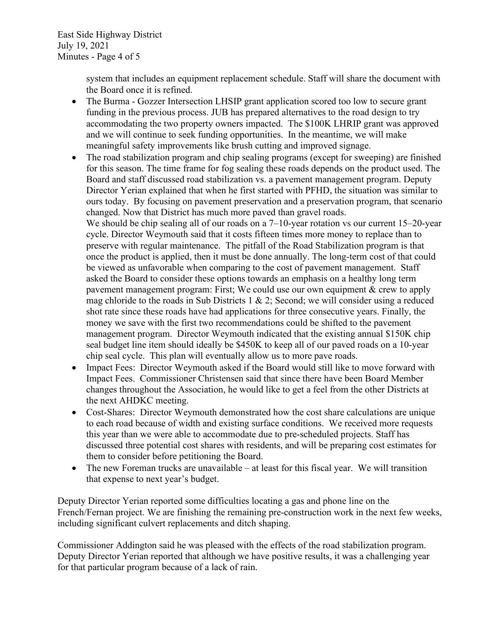system that includes an equipment replacement schedule. Staff will share the document with the Board once it is refined.

- The Burma Gozzer Intersection LHSIP grant application scored too low to secure grant funding in the previous process. JUB has prepared alternatives to the road design to try accommodating the two property owners impacted. The \$100K LHRIP grant was approved and we will continue to seek funding opportunities. In the meantime, we will make meaningful safety improvements like brush cutting and improved signage.
- The road stabilization program and chip sealing programs (except for sweeping) are finished for this season. The time frame for fog sealing these roads depends on the product used. The Board and staff discussed road stabilization vs. a pavement management program. Deputy Director Yerian explained that when he first started with PFHD, the situation was similar to ours today. By focusing on pavement preservation and a preservation program, that scenario changed. Now that District has much more paved than gravel roads. We should be chip sealing all of our roads on a 7–10-year rotation vs our current 15–20-year cycle. Director Weymouth said that it costs fifteen times more money to replace than to preserve with regular maintenance. The pitfall of the Road Stabilization program is that once the product is applied, then it must be done annually. The long-term cost of that could be viewed as unfavorable when comparing to the cost of pavement management. Staff asked the Board to consider these options towards an emphasis on a healthy long term pavement management program: First; We could use our own equipment & crew to apply mag chloride to the roads in Sub Districts 1 & 2; Second; we will consider using a reduced shot rate since these roads have had applications for three consecutive years. Finally, the
	- money we save with the first two recommendations could be shifted to the pavement management program. Director Weymouth indicated that the existing annual \$150K chip seal budget line item should ideally be \$450K to keep all of our paved roads on a 10-year chip seal cycle. This plan will eventually allow us to more pave roads.
- Impact Fees: Director Weymouth asked if the Board would still like to move forward with Impact Fees. Commissioner Christensen said that since there have been Board Member changes throughout the Association, he would like to get a feel from the other Districts at the next AHDKC meeting.
- Cost-Shares: Director Weymouth demonstrated how the cost share calculations are unique to each road because of width and existing surface conditions. We received more requests this year than we were able to accommodate due to pre-scheduled projects. Staff has discussed three potential cost shares with residents, and will be preparing cost estimates for them to consider before petitioning the Board.
- The new Foreman trucks are unavailable at least for this fiscal year. We will transition that expense to next year's budget.

Deputy Director Yerian reported some difficulties locating a gas and phone line on the French/Fernan project. We are finishing the remaining pre-construction work in the next few weeks, including significant culvert replacements and ditch shaping.

Commissioner Addington said he was pleased with the effects of the road stabilization program. Deputy Director Yerian reported that although we have positive results, it was a challenging year for that particular program because of a lack of rain.